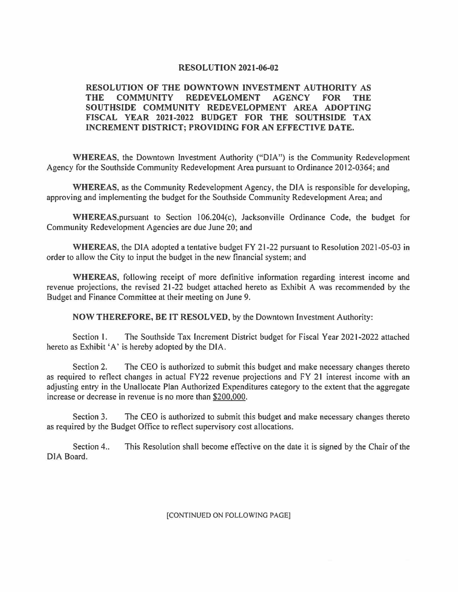## **RESOLUTION 2021-06-02**

## **RESOLUTION OF THE DOWNTOWN INVESTMENT AUTHORITY AS THE COMMUNITY REDEVELOMENT AGENCY FOR THE SOUTHSIDE COMMUNITY REDEVELOPMENT AREA ADOPTING FISCAL YEAR 2021-2022 BUDGET FOR THE SOUTHSIDE TAX INCREMENT DISTRICT; PROVIDING FOR AN EFFECTIVE DATE.**

**WHEREAS,** the Downtown Investment Authority ("DIA") is the Community Redevelopment Agency for the Southside Community Redevelopment Area pursuant to Ordinance 2012-0364; and

**WHEREAS,** as the Community Redevelopment Agency, the DIA is responsible for developing, approving and implementing the budget for the Southside Community Redevelopment Area; and

WHEREAS, pursuant to Section 106.204(c), Jacksonville Ordinance Code, the budget for Community Redevelopment Agencies are due June 20; and

**WHEREAS,** the DIA adopted a tentative budget FY 21-22 pursuant to Resolution 2021-05-03 in order to allow the City to input the budget in the new financial system; and

**WHEREAS,** following receipt of more definitive information regarding interest income and revenue projections, the revised 21-22 budget attached hereto as Exhibit A was recommended by the Budget and Finance Committee at their meeting on June 9.

**NOW THEREFORE, BE IT RESOLVED,** by the Downtown Investment Authority:

Section l. The Southside Tax Increment District budget for Fiscal Year 2021-2022 attached hereto as Exhibit 'A' is hereby adopted by the DIA.

Section 2. The CEO is authorized to submit this budget and make necessary changes thereto as required to reflect changes in actual FY22 revenue projections and FY 21 interest income with an adjusting entry in the Unallocate Plan Authorized Expenditures category to the extent that the aggregate increase or decrease in revenue is no more than \$200.000.

Section 3. The CEO is authorized to submit this budget and make necessary changes thereto as required by the Budget Office to reflect supervisory cost allocations.

Section 4.. This Resolution shall become effective on the date it is signed by the Chair of the DIA Board.

[CONTINUED ON FOLLOWING PAGE]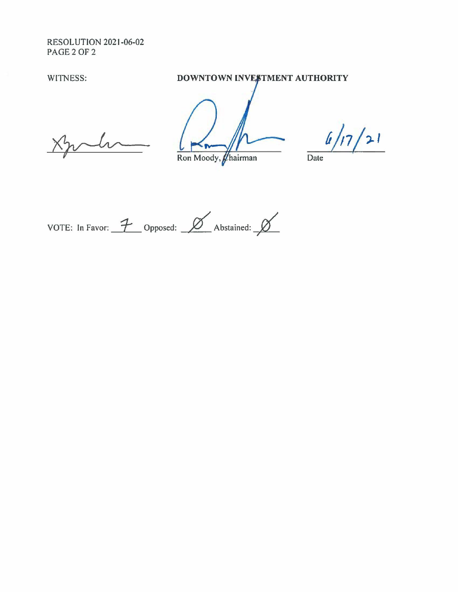**RESOLUTION 2021-06-02** PAGE 2 OF 2

WITNESS:

DOWNTOWN INVESTMENT AUTHORITY

Ron Moody, *Chairman* 

 $\sqrt{21}$ 

Date

VOTE: In Favor:  $\frac{7}{100}$  Opposed:  $\frac{8}{100}$  Abstained:  $\frac{8}{100}$